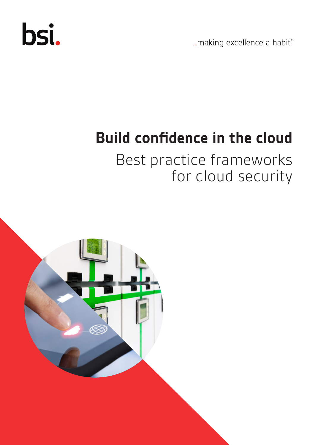

...making excellence a habit."

# **Build confidence in the cloud**

Best practice frameworks for cloud security

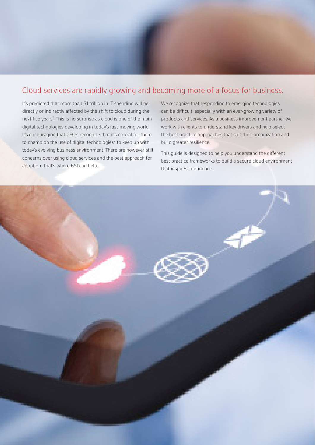### Cloud services are rapidly growing and becoming more of a focus for business.

It's predicted that more than \$1 trillion in IT spending will be directly or indirectly affected by the shift to cloud during the next five years<sup>1</sup>. This is no surprise as cloud is one of the main digital technologies developing in today's fast-moving world. It's encouraging that CEO's recognize that it's crucial for them to champion the use of digital technologies $2$  to keep up with today's evolving business environment. There are however still concerns over using cloud services and the best approach for adoption. That's where BSI can help.

We recognize that responding to emerging technologies can be difficult, especially with an ever-growing variety of products and services. As a business improvement partner we work with clients to understand key drivers and help select the best practice approaches that suit their organization and build greater resilience.

This guide is designed to help you understand the different best practice frameworks to build a secure cloud environment that inspires confidence.

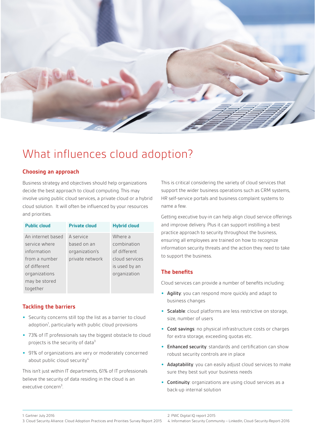

### What influences cloud adoption?

#### **Choosing an approach**

Business strategy and objectives should help organizations decide the best approach to cloud computing. This may involve using public cloud services, a private cloud or a hybrid cloud solution. It will often be influenced by your resources and priorities.

| <b>Public cloud</b> | <b>Private cloud</b> | <b>Hybrid cloud</b> |
|---------------------|----------------------|---------------------|
| An internet hased   | A service            | Where a             |
| service where       | based on an          | combination         |
| information         | organization's       | of different        |
| from a number       | private network      | cloud services      |
| of different        |                      | is used by an       |
| organizations       |                      | organization        |
| may be stored       |                      |                     |
| together            |                      |                     |

#### **Tackling the barriers**

- **•** Security concerns still top the list as a barrier to cloud adoption<sup>1</sup>, particularly with public cloud provisions
- **•** 73% of IT professionals say the biggest obstacle to cloud projects is the security of data $3$
- **•** 91% of organizations are very or moderately concerned about public cloud security<sup>4</sup>

This isn't just within IT departments, 61% of IT professionals believe the security of data residing in the cloud is an executive concern<sup>3</sup>.

This is critical considering the variety of cloud services that support the wider business operations such as CRM systems, HR self-service portals and business complaint systems to name a few.

Getting executive buy-in can help align cloud service offerings and improve delivery. Plus it can support instilling a best practice approach to security throughout the business, ensuring all employees are trained on how to recognize information security threats and the action they need to take to support the business.

#### **The benefits**

Cloud services can provide a number of benefits including:

- **•** Agility: you can respond more quickly and adapt to business changes
- **•** Scalable: cloud platforms are less restrictive on storage, size, number of users
- **•** Cost savings: no physical infrastructure costs or charges for extra storage, exceeding quotas etc.
- **•** Enhanced security: standards and certification can show robust security controls are in place
- **•** Adaptability: you can easily adjust cloud services to make sure they best suit your business needs
- **•** Continuity: organizations are using cloud services as a back-up internal solution

<sup>1.</sup> Gartner July 2016 2. PWC Digital IQ report 2015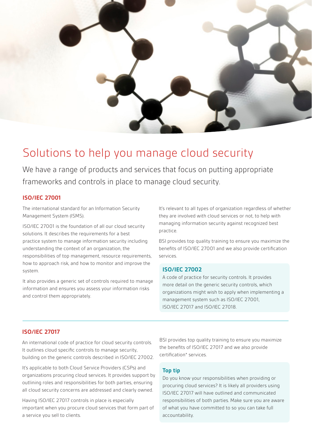

### Solutions to help you manage cloud security

We have a range of products and services that focus on putting appropriate frameworks and controls in place to manage cloud security.

#### **ISO/IEC 27001**

The international standard for an Information Security Management System (ISMS).

ISO/IEC 27001 is the foundation of all our cloud security solutions. It describes the requirements for a best practice system to manage information security including understanding the context of an organization, the responsibilities of top management, resource requirements, how to approach risk, and how to monitor and improve the system.

It also provides a generic set of controls required to manage information and ensures you assess your information risks and control them appropriately.

It's relevant to all types of organization regardless of whether they are involved with cloud services or not, to help with managing information security against recognized best practice.

BSI provides top quality training to ensure you maximize the benefits of ISO/IEC 27001 and we also provide certification services.

#### **ISO/IEC 27002**

A code of practice for security controls. It provides more detail on the generic security controls, which organizations might wish to apply when implementing a management system such as ISO/IEC 27001, ISO/IEC 27017 and ISO/IEC 27018.

#### **ISO/IEC 27017**

An international code of practice for cloud security controls. It outlines cloud specific controls to manage security, building on the generic controls described in ISO/IEC 27002.

It's applicable to both Cloud Service Providers (CSPs) and organizations procuring cloud services. It provides support by outlining roles and responsibilities for both parties, ensuring all cloud security concerns are addressed and clearly owned.

Having ISO/IEC 27017 controls in place is especially important when you procure cloud services that form part of a service you sell to clients.

BSI provides top quality training to ensure you maximize the benefits of ISO/IEC 27017 and we also provide certification\* services.

#### **Top tip**

Do you know your responsibilities when providing or procuring cloud services? It is likely all providers using ISO/IEC 27017 will have outlined and communicated responsibilities of both parties. Make sure you are aware of what you have committed to so you can take full accountability.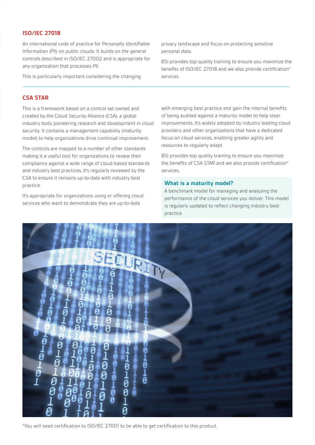#### **ISO/IEC 27018**

An international code of practice for Personally Identifiable Information (PII) on public clouds. It builds on the general controls described in ISO/IEC 27002 and is appropriate for any organization that processes PII.

This is particularly important considering the changing

#### privacy landscape and focus on protecting sensitive personal data.

BSI provides top quality training to ensure you maximize the benefits of ISO/IEC 27018 and we also provide certification\* services.

#### **CSA STAR**

This is a framework based on a control set owned and created by the Cloud Security Alliance (CSA), a global industry body pioneering research and development in cloud security. It contains a management capability (maturity model) to help organizations drive continual improvement.

The controls are mapped to a number of other standards making it a useful tool for organizations to review their compliance against a wide range of cloud-based standards and industry best practices. It's regularly reviewed by the CSA to ensure it remains up-to-date with industry best practice.

It's appropriate for organizations using or offering cloud services who want to demonstrate they are up-to-date

with emerging best practice and gain the internal benefits of being audited against a maturity model to help steer improvements. It's widely adopted by industry leading cloud providers and other organizations that have a dedicated focus on cloud services, enabling greater agility and resources to regularly adapt.

BSI provides top quality training to ensure you maximize the benefits of CSA STAR and we also provide certification\* services.

#### **What is a maturity model?**

A benchmark model for managing and analyzing the performance of the cloud services you deliver. This model is regularly updated to reflect changing industry bestpractice.



\*You will need certification to ISO/IEC 27001 to be able to get certification to this product.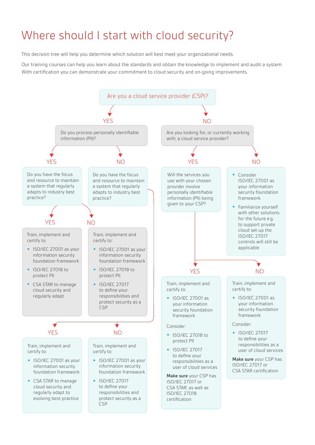# Where should I start with cloud security?

This decision tree will help you determine which solution will best meet your organizational needs.

Our training courses can help you learn about the standards and obtain the knowledge to implement and audit a system. With certification you can demonstrate your commitment to cloud security and on-going improvements.

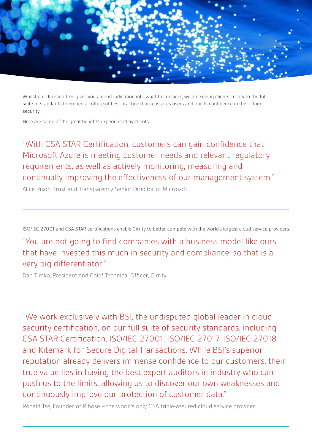

Whilst our decision tree gives you a good indication into what to consider, we are seeing clients certify to the full suite of standards to embed a culture of best practice that reassures users and builds confidence in their cloud security.

Here are some of the great benefits experienced by clients:

"With CSA STAR Certification, customers can gain confidence that Microsoft Azure is meeting customer needs and relevant regulatory requirements, as well as actively monitoring, measuring and continually improving the effectiveness of our management system."

Alice Rison, Trust and Transparency Senior Director of Microsoft

ISO/IEC 27001 and CSA STAR certifications enable Cirrity to better compete with the world's largest cloud service providers.

"You are not going to find companies with a business model like ours that have invested this much in security and compliance, so that is a very big differentiator."

Dan Timko, President and Chief Technical Officer, Cirrity

"We work exclusively with BSI, the undisputed global leader in cloud security certification, on our full suite of security standards, including CSA STAR Certification, ISO/IEC 27001, ISO/IEC 27017, ISO/IEC 27018 and Kitemark for Secure Digital Transactions. While BSI's superior reputation already delivers immense confidence to our customers, their true value lies in having the best expert auditors in industry who can push us to the limits, allowing us to discover our own weaknesses and continuously improve our protection of customer data."

Ronald Tse, Founder of Ribose – the world's only CSA triple-assured cloud service provider